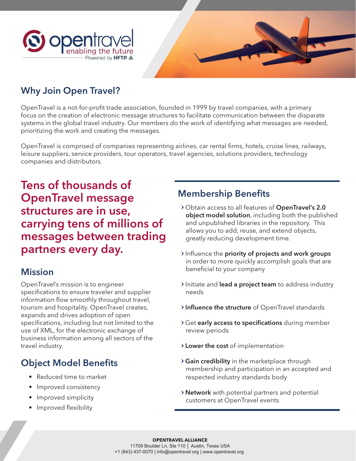



### Why Join Open Travel?

OpenTravel is a not-for-profit trade association, founded in 1999 by travel companies, with a primary focus on the creation of electronic message structures to facilitate communication between the disparate systems in the global travel industry. Our members do the work of identifying what messages are needed, prioritizing the work and creating the messages.

OpenTravel is comprised of companies representing airlines, car rental firms, hotels, cruise lines, railways, leisure suppliers, service providers, tour operators, travel agencies, solutions providers, technology companies and distributors.

Tens of thousands of OpenTravel message structures are in use, carrying tens of millions of messages between trading partners every day.

#### **Mission**

OpenTravel's mission is to engineer specifications to ensure traveler and supplier information flow smoothly throughout travel, tourism and hospitality. OpenTravel creates, expands and drives adoption of open specifications, including but not limited to the use of XML, for the electronic exchange of business information among all sectors of the travel industry.

## Object Model Benefits

- Reduced time to market
- Improved consistency
- Improved simplicity
- Improved flexibility

### Membership Benefits

- > Obtain access to all features of OpenTravel's 2.0 object model solution, including both the published and unpublished libraries in the repository. This allows you to add, reuse, and extend objects, greatly reducing development time.
- $\lambda$  Influence the priority of projects and work groups in order to more quickly accomplish goals that are beneficial to your company
- Initiate and lead a project team to address industry needs
- > Influence the structure of OpenTravel standards
- > Get early access to specifications during member review periods
- > Lower the cost of implementation
- > Gain credibility in the marketplace through membership and participation in an accepted and respected industry standards body
- > **Network** with potential partners and potential customers at OpenTravel events